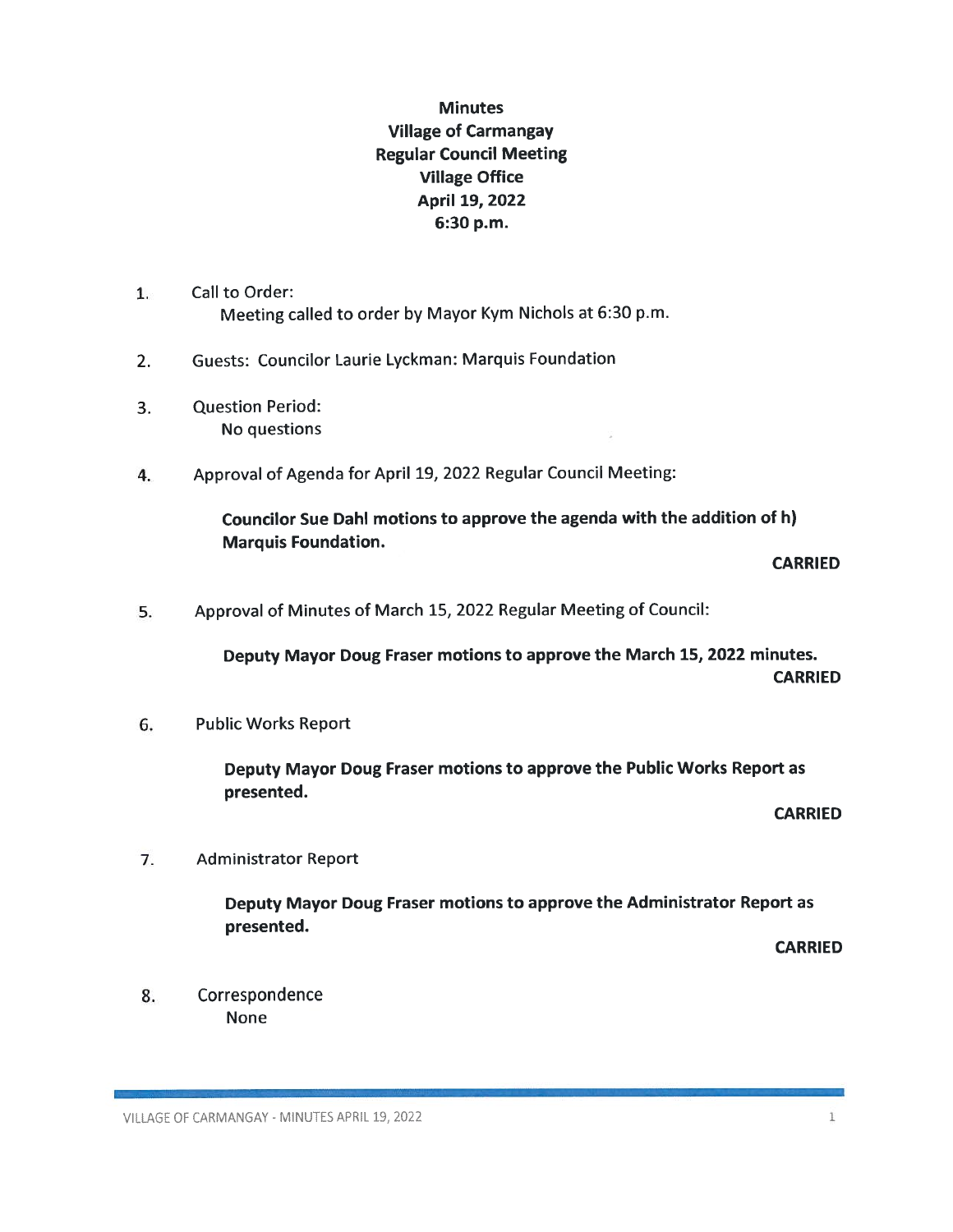## **Minutes** Village of Carmangay Regular Council Meeting Village Office April 19, 2022 6:30 p.m.

- 1. Call to Order: Meeting called to order by Mayor Kym Nichols at 6:30 p.m.
- 2. Guests: Councilor Laurie Lyckman: Marquis Foundation
- 3. Question Period: No questions
- 4. Approval of Agenda for April 19, 2022 Regular Council Meeting:

Councilor Sue Dahl motions to approve the agenda with the addition of h) Marquis Foundation.

CARRIED

5. Approval of Minutes of March 15, 2022 Regular Meeting of Council:

Deputy Mayor Doug Fraser motions to approve the March 15, 2022 minutes. **CARRIED** 

6. Public Works Report

Deputy Mayor Doug Fraser motions to approve the Public Works Report as presented.

**CARRIED** 

7. Administrator Report

Deputy Mayor Doug Fraser motions to approve the Administrator Report as presented.

**CARRIED** 

8. Correspondence None

VILLAGE OF CARMANGAY - MINUTES APRIL 19, 2022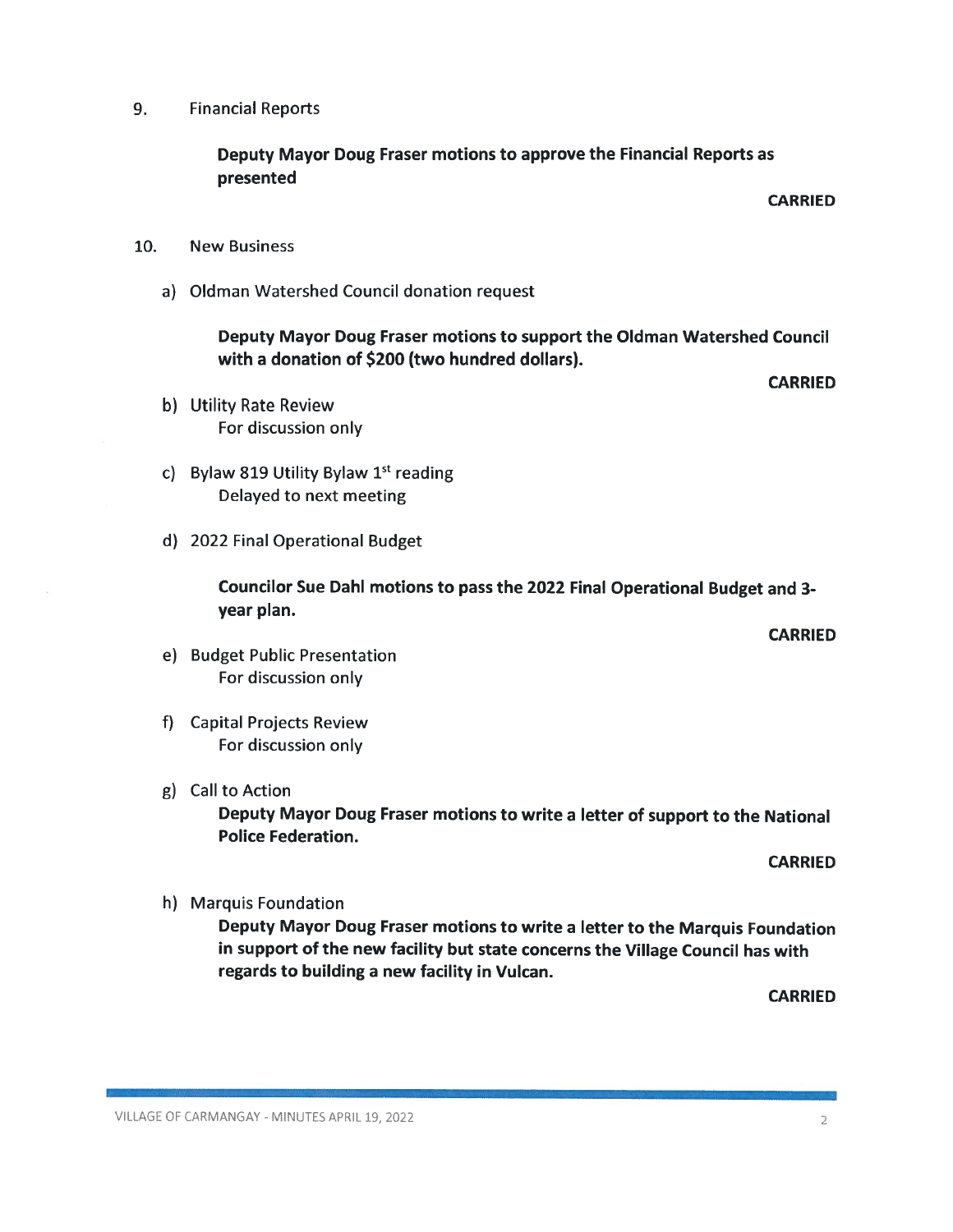## 9. Financial Reports

Deputy Mayor Doug Fraser motions to approve the Financial Reports as presented

CARRIED

**CARRIED** 

- 10. New Business
	- a) Oldman Watershed Council donation request

Deputy Mayor Doug Fraser motions to support the Oldman Watershed Council with a donation of \$200 (two hundred dollars).

- b) Utility Rate Review
- c) Bylaw 819 Utility Bylaw  $1<sup>st</sup>$  reading Delayed to next meeting
- d) 2022 Final Operational Budget

For discussion only

Councilor Sue DahI motions to pass the 2022 Final Operational Budget and 3 year plan.

CARRIED

- e) Budget Public Presentation For discussion only
- 1) Capital Projects Review For discussion only
- g) CalIto Action

Deputy Mayor Doug Fraser motions to write a letter of support to the National Police Federation.

CARRIED

h) Marquis Foundation

Deputy Mayor Doug Fraser motions to write a letter to the Marquis Foundation in support of the new facility but state concerns the Village Council has with regards to building a new facility in Vulcan.

**CARRIED**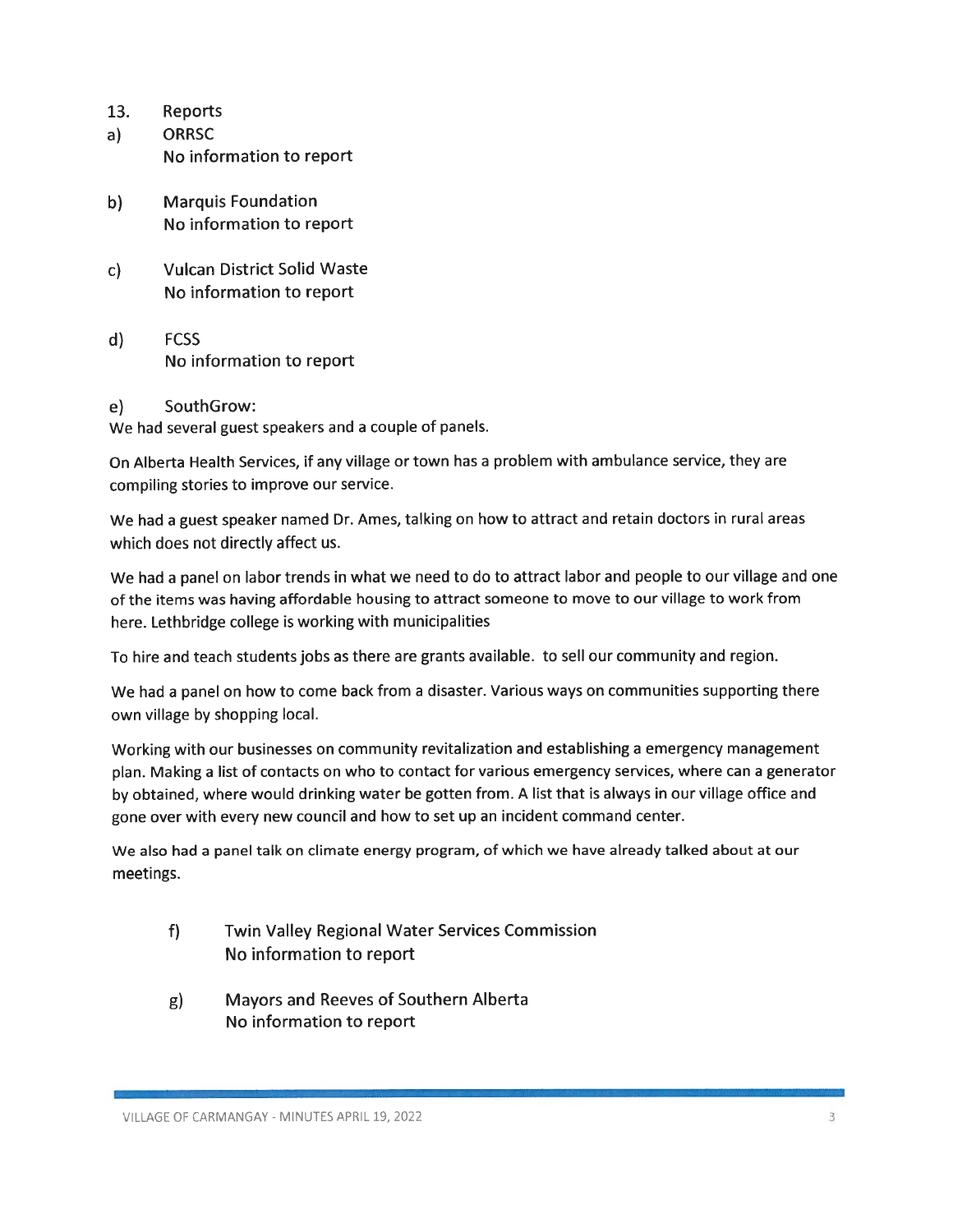- 13. Reports
- a) ORRSC No information to report
- b) Marquis Foundation No information to report
- c) Vulcan District Solid Waste No information to report
- d) FCSS No information to report
- e) SouthGrow:

We had several guest speakers and a couple of panels.

On Alberta Health Services, if any village or town has <sup>a</sup> problem with ambulance service, they are compiling stories to improve our service.

We had <sup>a</sup> guest speaker named Dr. Ames, talking on how to attract and retain doctors in rural areas which does not directly affect us.

We had a panel on labor trends in what we need to do to attract labor and people to our village and one of the items was having affordable housing to attract someone to move to our village to work from here. Lethbridge college is working with municipalities

To hire and teach students jobs as there are grants available, to sell our community and region.

We had a panel on how to come back from a disaster. Various ways on communities supporting there own village by shopping local.

Working with our businesses on community revitalization and establishing a emergency management plan. Making a list of contacts on who to contact for various emergency services, where can a generator by obtained, where would drinking water be gotten from. <sup>A</sup> list that is always in our village office and gone over with every new council and how to set up an incident command center.

We also had a panel talk on climate energy program, of which we have already talked about at our meetings.

- f) Twin Valley Regional Water Services Commission No information to report
- g) Mayors and Reeves of Southern Alberta No information to report